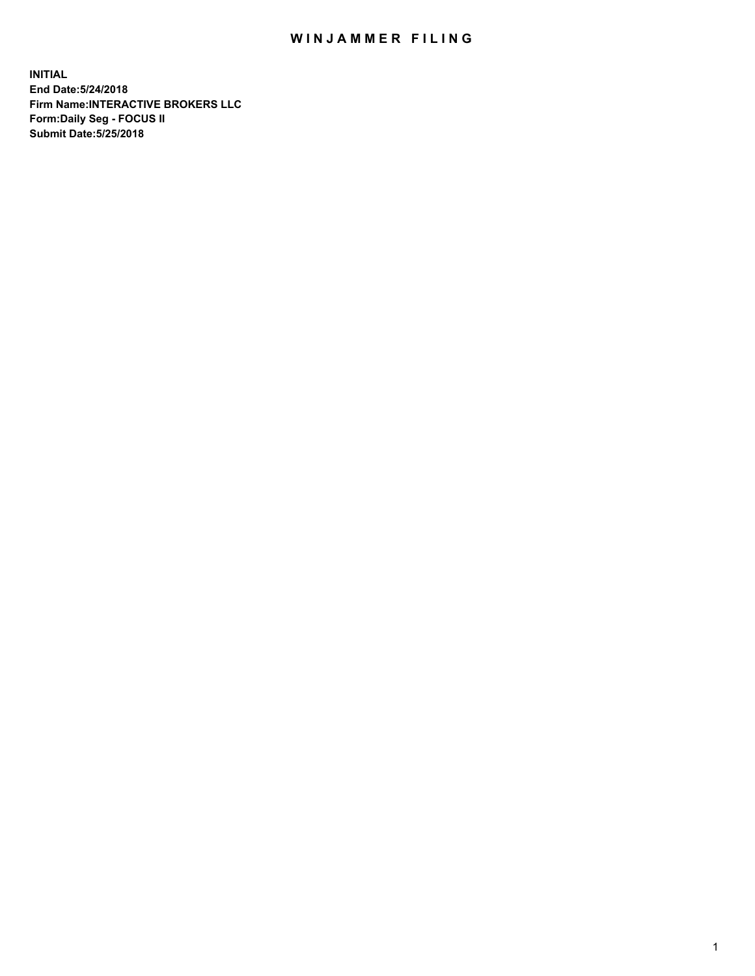## WIN JAMMER FILING

**INITIAL End Date:5/24/2018 Firm Name:INTERACTIVE BROKERS LLC Form:Daily Seg - FOCUS II Submit Date:5/25/2018**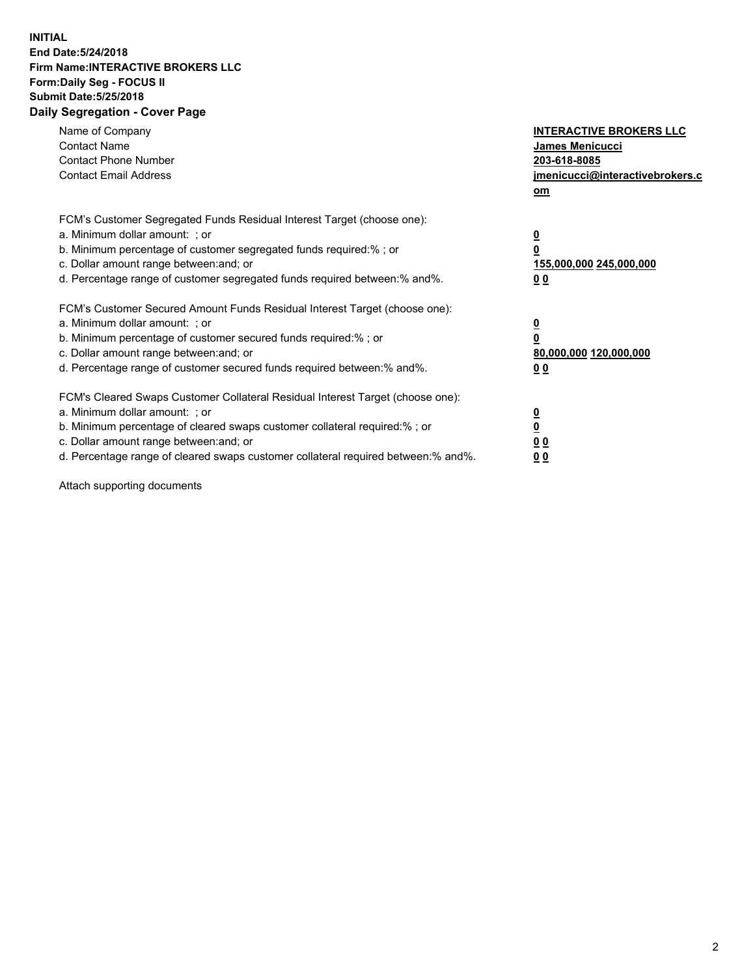## **INITIAL End Date:5/24/2018 Firm Name:INTERACTIVE BROKERS LLC Form:Daily Seg - FOCUS II Submit Date:5/25/2018 Daily Segregation - Cover Page**

| Name of Company<br><b>Contact Name</b><br><b>Contact Phone Number</b><br><b>Contact Email Address</b>                                                                                                                                                                                                                          | <b>INTERACTIVE BROKERS LLC</b><br>James Menicucci<br>203-618-8085<br>jmenicucci@interactivebrokers.c<br>om |
|--------------------------------------------------------------------------------------------------------------------------------------------------------------------------------------------------------------------------------------------------------------------------------------------------------------------------------|------------------------------------------------------------------------------------------------------------|
| FCM's Customer Segregated Funds Residual Interest Target (choose one):<br>a. Minimum dollar amount: ; or<br>b. Minimum percentage of customer segregated funds required:% ; or<br>c. Dollar amount range between: and; or<br>d. Percentage range of customer segregated funds required between:% and%.                         | $\overline{\mathbf{0}}$<br>0<br>155,000,000 245,000,000<br>0 <sub>0</sub>                                  |
| FCM's Customer Secured Amount Funds Residual Interest Target (choose one):<br>a. Minimum dollar amount: ; or<br>b. Minimum percentage of customer secured funds required:%; or<br>c. Dollar amount range between: and; or<br>d. Percentage range of customer secured funds required between: % and %.                          | $\overline{\mathbf{0}}$<br>0<br>80,000,000 120,000,000<br>0 <sub>0</sub>                                   |
| FCM's Cleared Swaps Customer Collateral Residual Interest Target (choose one):<br>a. Minimum dollar amount: ; or<br>b. Minimum percentage of cleared swaps customer collateral required:% ; or<br>c. Dollar amount range between: and; or<br>d. Percentage range of cleared swaps customer collateral required between:% and%. | $\overline{\mathbf{0}}$<br>$\overline{\mathbf{0}}$<br>0 <sub>0</sub><br>0 <sub>0</sub>                     |

Attach supporting documents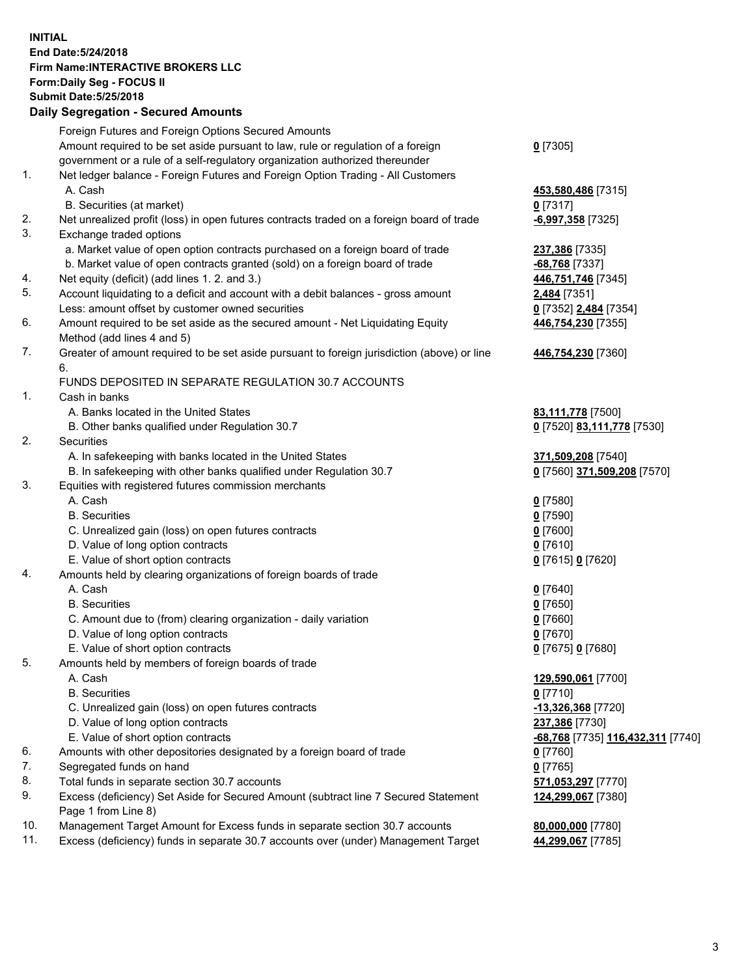## **INITIAL End Date:5/24/2018 Firm Name:INTERACTIVE BROKERS LLC Form:Daily Seg - FOCUS II Submit Date:5/25/2018 Daily Segregation - Secured Amounts**

|                | Daily Jegregation - Jeculed Aniounts                                                        |                                   |
|----------------|---------------------------------------------------------------------------------------------|-----------------------------------|
|                | Foreign Futures and Foreign Options Secured Amounts                                         |                                   |
|                | Amount required to be set aside pursuant to law, rule or regulation of a foreign            | $0$ [7305]                        |
|                | government or a rule of a self-regulatory organization authorized thereunder                |                                   |
| 1.             | Net ledger balance - Foreign Futures and Foreign Option Trading - All Customers             |                                   |
|                | A. Cash                                                                                     | 453,580,486 [7315]                |
|                | B. Securities (at market)                                                                   | $0$ [7317]                        |
| 2.             | Net unrealized profit (loss) in open futures contracts traded on a foreign board of trade   | -6,997,358 [7325]                 |
| 3.             | Exchange traded options                                                                     |                                   |
|                | a. Market value of open option contracts purchased on a foreign board of trade              | 237,386 [7335]                    |
|                | b. Market value of open contracts granted (sold) on a foreign board of trade                | $-68,768$ [7337]                  |
| 4.             | Net equity (deficit) (add lines 1.2. and 3.)                                                | 446,751,746 [7345]                |
| 5.             | Account liquidating to a deficit and account with a debit balances - gross amount           | 2,484 [7351]                      |
|                | Less: amount offset by customer owned securities                                            | 0 [7352] 2,484 [7354]             |
| 6.             | Amount required to be set aside as the secured amount - Net Liquidating Equity              | 446,754,230 [7355]                |
|                | Method (add lines 4 and 5)                                                                  |                                   |
| 7.             | Greater of amount required to be set aside pursuant to foreign jurisdiction (above) or line | 446,754,230 [7360]                |
|                | 6.                                                                                          |                                   |
|                | FUNDS DEPOSITED IN SEPARATE REGULATION 30.7 ACCOUNTS                                        |                                   |
| $\mathbf{1}$ . | Cash in banks                                                                               |                                   |
|                | A. Banks located in the United States                                                       | 83,111,778 [7500]                 |
|                | B. Other banks qualified under Regulation 30.7                                              | 0 [7520] 83,111,778 [7530]        |
| 2.             | Securities                                                                                  |                                   |
|                | A. In safekeeping with banks located in the United States                                   | 371,509,208 [7540]                |
|                | B. In safekeeping with other banks qualified under Regulation 30.7                          | 0 [7560] 371,509,208 [7570]       |
| 3.             | Equities with registered futures commission merchants                                       |                                   |
|                | A. Cash                                                                                     | $0$ [7580]                        |
|                | <b>B.</b> Securities                                                                        | $0$ [7590]                        |
|                | C. Unrealized gain (loss) on open futures contracts                                         | $0$ [7600]                        |
|                | D. Value of long option contracts                                                           | $0$ [7610]                        |
|                | E. Value of short option contracts                                                          | 0 [7615] 0 [7620]                 |
| 4.             | Amounts held by clearing organizations of foreign boards of trade                           |                                   |
|                | A. Cash                                                                                     | $0$ [7640]                        |
|                | <b>B.</b> Securities                                                                        | $0$ [7650]                        |
|                | C. Amount due to (from) clearing organization - daily variation                             | $0$ [7660]                        |
|                | D. Value of long option contracts                                                           | $0$ [7670]                        |
|                | E. Value of short option contracts                                                          | 0 [7675] 0 [7680]                 |
| 5.             | Amounts held by members of foreign boards of trade                                          |                                   |
|                | A. Cash                                                                                     | 129,590,061 [7700]                |
|                | <b>B.</b> Securities                                                                        | $0$ [7710]                        |
|                | C. Unrealized gain (loss) on open futures contracts                                         | $-13,326,368$ [7720]              |
|                | D. Value of long option contracts                                                           | 237,386 [7730]                    |
|                | E. Value of short option contracts                                                          | -68,768 [7735] 116,432,311 [7740] |
| 6.             | Amounts with other depositories designated by a foreign board of trade                      | 0 [7760]                          |
| 7.             | Segregated funds on hand                                                                    | $0$ [7765]                        |
| 8.             | Total funds in separate section 30.7 accounts                                               | 571,053,297 [7770]                |
| 9.             | Excess (deficiency) Set Aside for Secured Amount (subtract line 7 Secured Statement         | 124,299,067 [7380]                |
|                | Page 1 from Line 8)                                                                         |                                   |
| 10.            | Management Target Amount for Excess funds in separate section 30.7 accounts                 | 80,000,000 [7780]                 |
| 11.            | Excess (deficiency) funds in separate 30.7 accounts over (under) Management Target          | 44,299,067 [7785]                 |
|                |                                                                                             |                                   |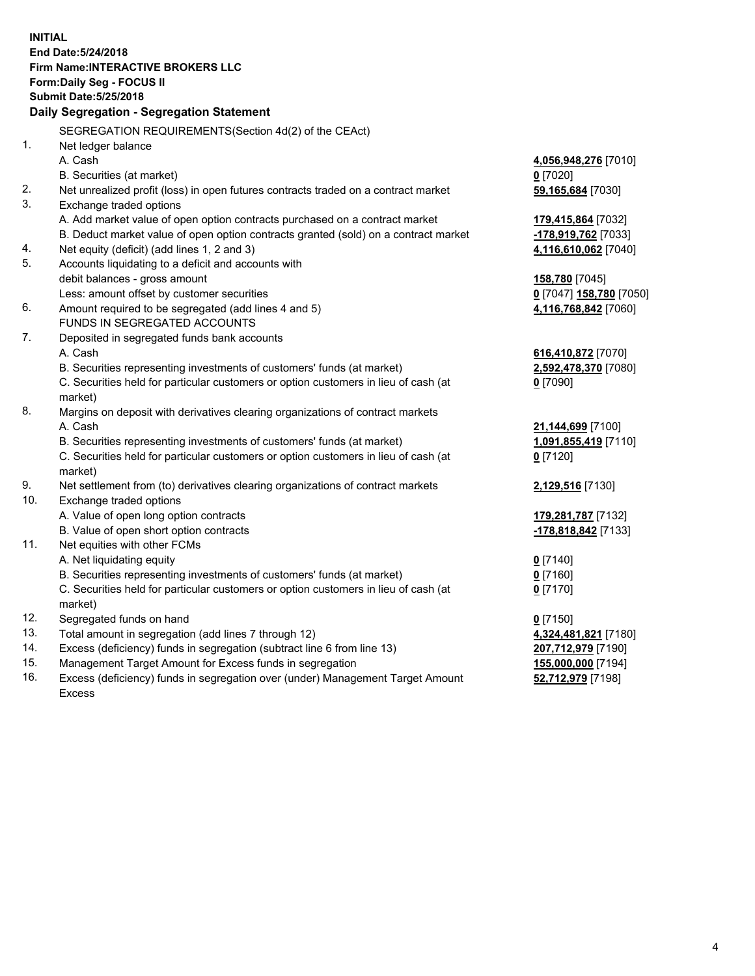**INITIAL End Date:5/24/2018 Firm Name:INTERACTIVE BROKERS LLC Form:Daily Seg - FOCUS II Submit Date:5/25/2018 Daily Segregation - Segregation Statement** SEGREGATION REQUIREMENTS(Section 4d(2) of the CEAct) 1. Net ledger balance A. Cash **4,056,948,276** [7010] B. Securities (at market) **0** [7020] 2. Net unrealized profit (loss) in open futures contracts traded on a contract market **59,165,684** [7030] 3. Exchange traded options A. Add market value of open option contracts purchased on a contract market **179,415,864** [7032] B. Deduct market value of open option contracts granted (sold) on a contract market **-178,919,762** [7033] 4. Net equity (deficit) (add lines 1, 2 and 3) **4,116,610,062** [7040] 5. Accounts liquidating to a deficit and accounts with debit balances - gross amount **158,780** [7045] Less: amount offset by customer securities **0** [7047] **158,780** [7050] 6. Amount required to be segregated (add lines 4 and 5) **4,116,768,842** [7060] FUNDS IN SEGREGATED ACCOUNTS 7. Deposited in segregated funds bank accounts A. Cash **616,410,872** [7070] B. Securities representing investments of customers' funds (at market) **2,592,478,370** [7080] C. Securities held for particular customers or option customers in lieu of cash (at market) **0** [7090] 8. Margins on deposit with derivatives clearing organizations of contract markets A. Cash **21,144,699** [7100] B. Securities representing investments of customers' funds (at market) **1,091,855,419** [7110] C. Securities held for particular customers or option customers in lieu of cash (at market) **0** [7120] 9. Net settlement from (to) derivatives clearing organizations of contract markets **2,129,516** [7130] 10. Exchange traded options A. Value of open long option contracts **179,281,787** [7132] B. Value of open short option contracts **-178,818,842** [7133] 11. Net equities with other FCMs A. Net liquidating equity **0** [7140] B. Securities representing investments of customers' funds (at market) **0** [7160] C. Securities held for particular customers or option customers in lieu of cash (at market) **0** [7170] 12. Segregated funds on hand **0** [7150] 13. Total amount in segregation (add lines 7 through 12) **4,324,481,821** [7180] 14. Excess (deficiency) funds in segregation (subtract line 6 from line 13) **207,712,979** [7190] 15. Management Target Amount for Excess funds in segregation **155,000,000** [7194]

16. Excess (deficiency) funds in segregation over (under) Management Target Amount Excess

**52,712,979** [7198]